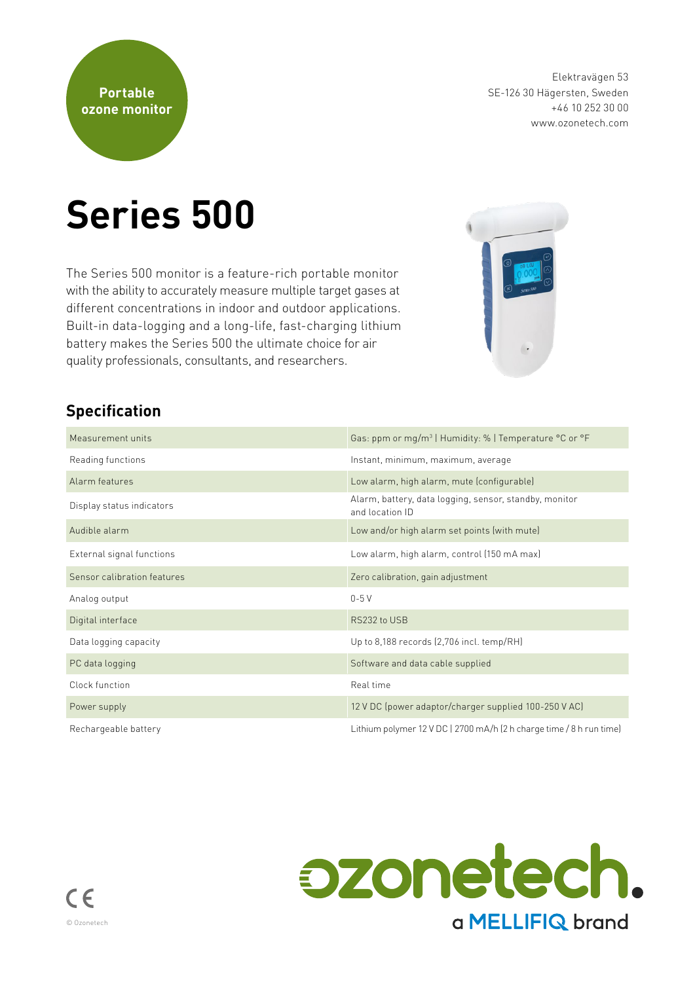

Elektravägen 53 SE-126 30 Hägersten, Sweden +46 10 252 30 00 www.ozonetech.com

# **Series 500**

The Series 500 monitor is a feature-rich portable monitor with the ability to accurately measure multiple target gases at different concentrations in indoor and outdoor applications. Built-in data-logging and a long-life, fast-charging lithium battery makes the Series 500 the ultimate choice for air quality professionals, consultants, and researchers.



#### **Specification**

| Measurement units           | Gas: ppm or mg/m <sup>3</sup>   Humidity: %   Temperature °C or °F        |
|-----------------------------|---------------------------------------------------------------------------|
| Reading functions           | Instant, minimum, maximum, average                                        |
| Alarm features              | Low alarm, high alarm, mute (configurable)                                |
| Display status indicators   | Alarm, battery, data logging, sensor, standby, monitor<br>and location ID |
| Audible alarm               | Low and/or high alarm set points (with mute)                              |
| External signal functions   | Low alarm, high alarm, control (150 mA max)                               |
| Sensor calibration features | Zero calibration, gain adjustment                                         |
| Analog output               | $0-5V$                                                                    |
| Digital interface           | RS232 to USB                                                              |
| Data logging capacity       | Up to 8,188 records (2,706 incl. temp/RH)                                 |
| PC data logging             | Software and data cable supplied                                          |
| Clock function              | Real time                                                                 |
| Power supply                | 12 V DC (power adaptor/charger supplied 100-250 V AC)                     |
| Rechargeable battery        | Lithium polymer 12 V DC   2700 mA/h (2 h charge time / 8 h run time)      |

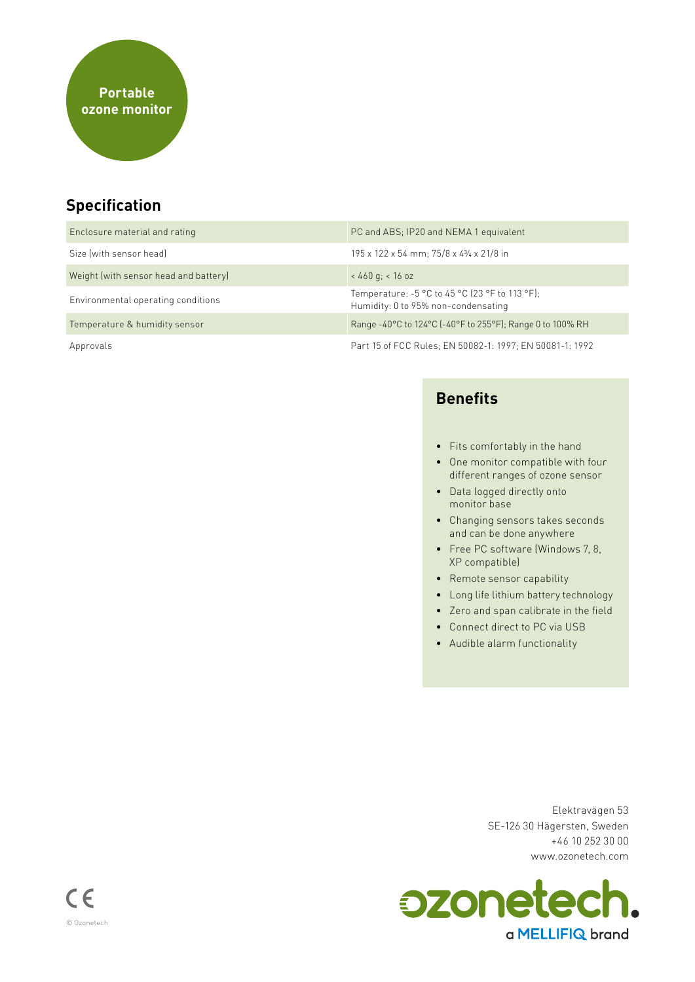## **Specification**

| Enclosure material and rating         | PC and ABS; IP20 and NEMA 1 equivalent                                                  |
|---------------------------------------|-----------------------------------------------------------------------------------------|
| Size (with sensor head)               | 195 x 122 x 54 mm; 75/8 x 43/4 x 21/8 in                                                |
| Weight (with sensor head and battery) | $< 460$ g; $< 16$ oz                                                                    |
| Environmental operating conditions    | Temperature: $-5$ °C to 45 °C (23 °F to 113 °F);<br>Humidity: 0 to 95% non-condensating |
| Temperature & humidity sensor         | Range -40°C to 124°C (-40°F to 255°F); Range 0 to 100% RH                               |
| Approvals                             | Part 15 of FCC Rules: EN 50082-1: 1997; EN 50081-1: 1992                                |

#### **Benefits**

- Fits comfortably in the hand
- One monitor compatible with four different ranges of ozone sensor
- Data logged directly onto monitor base
- Changing sensors takes seconds and can be done anywhere
- Free PC software (Windows 7, 8, XP compatible)
- Remote sensor capability
- Long life lithium battery technology
- Zero and span calibrate in the field
- Connect direct to PC via USB
- Audible alarm functionality

Elektravägen 53 SE-126 30 Hägersten, Sweden +46 10 252 30 00 www.ozonetech.com